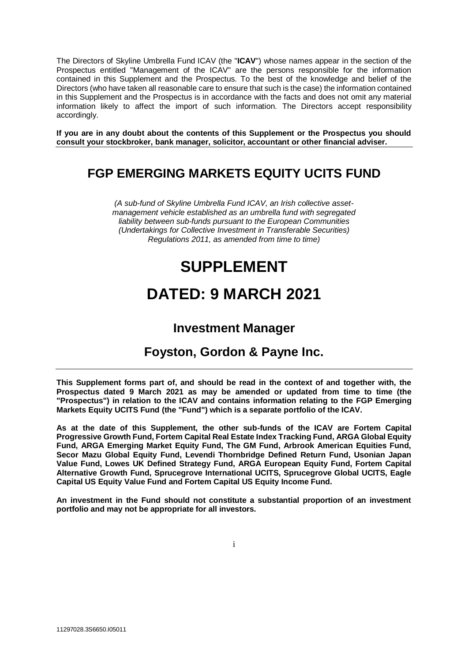The Directors of Skyline Umbrella Fund ICAV (the "**ICAV**") whose names appear in the section of the Prospectus entitled "Management of the ICAV" are the persons responsible for the information contained in this Supplement and the Prospectus. To the best of the knowledge and belief of the Directors (who have taken all reasonable care to ensure that such is the case) the information contained in this Supplement and the Prospectus is in accordance with the facts and does not omit any material information likely to affect the import of such information. The Directors accept responsibility accordingly.

**If you are in any doubt about the contents of this Supplement or the Prospectus you should consult your stockbroker, bank manager, solicitor, accountant or other financial adviser.**

# **FGP EMERGING MARKETS EQUITY UCITS FUND**

*(A sub-fund of Skyline Umbrella Fund ICAV, an Irish collective assetmanagement vehicle established as an umbrella fund with segregated liability between sub-funds pursuant to the European Communities (Undertakings for Collective Investment in Transferable Securities) Regulations 2011, as amended from time to time)*

# **SUPPLEMENT**

# **DATED: 9 MARCH 2021**

# **Investment Manager**

# **Foyston, Gordon & Payne Inc.**

**This Supplement forms part of, and should be read in the context of and together with, the Prospectus dated 9 March 2021 as may be amended or updated from time to time (the "Prospectus") in relation to the ICAV and contains information relating to the FGP Emerging Markets Equity UCITS Fund (the "Fund") which is a separate portfolio of the ICAV.** 

**As at the date of this Supplement, the other sub-funds of the ICAV are Fortem Capital Progressive Growth Fund, Fortem Capital Real Estate Index Tracking Fund, ARGA Global Equity Fund, ARGA Emerging Market Equity Fund, The GM Fund, Arbrook American Equities Fund, Secor Mazu Global Equity Fund, Levendi Thornbridge Defined Return Fund, Usonian Japan Value Fund, Lowes UK Defined Strategy Fund, ARGA European Equity Fund, Fortem Capital Alternative Growth Fund, Sprucegrove International UCITS, Sprucegrove Global UCITS, Eagle Capital US Equity Value Fund and Fortem Capital US Equity Income Fund.** 

**An investment in the Fund should not constitute a substantial proportion of an investment portfolio and may not be appropriate for all investors.**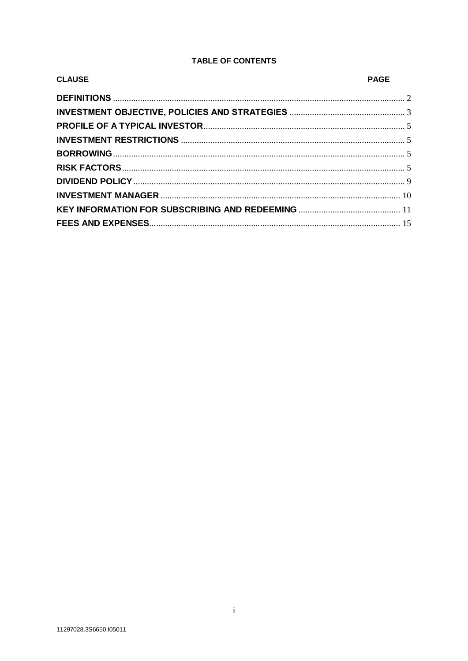# **TABLE OF CONTENTS**

| <b>CLAUSE</b> | <b>PAGE</b> |
|---------------|-------------|
|               |             |
|               |             |
|               |             |
|               |             |
|               |             |
|               |             |
|               |             |
|               |             |
|               |             |
|               |             |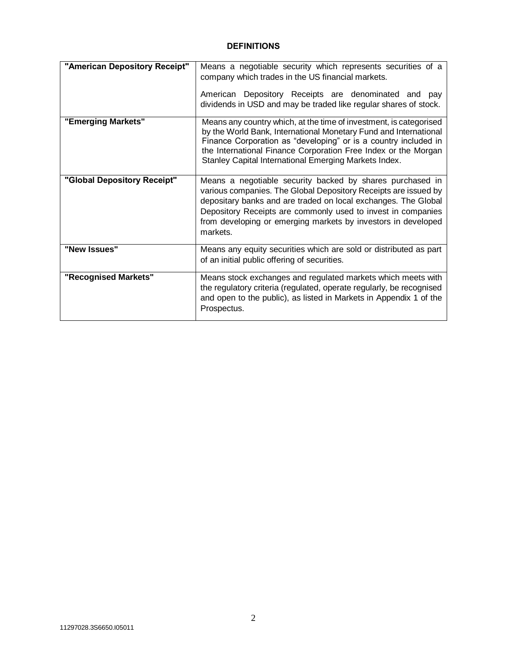# **DEFINITIONS**

<span id="page-2-0"></span>

| "American Depository Receipt" | Means a negotiable security which represents securities of a<br>company which trades in the US financial markets.<br>American Depository Receipts are denominated and pay<br>dividends in USD and may be traded like regular shares of stock.                                                                                               |
|-------------------------------|---------------------------------------------------------------------------------------------------------------------------------------------------------------------------------------------------------------------------------------------------------------------------------------------------------------------------------------------|
| "Emerging Markets"            | Means any country which, at the time of investment, is categorised<br>by the World Bank, International Monetary Fund and International<br>Finance Corporation as "developing" or is a country included in<br>the International Finance Corporation Free Index or the Morgan<br>Stanley Capital International Emerging Markets Index.        |
| "Global Depository Receipt"   | Means a negotiable security backed by shares purchased in<br>various companies. The Global Depository Receipts are issued by<br>depositary banks and are traded on local exchanges. The Global<br>Depository Receipts are commonly used to invest in companies<br>from developing or emerging markets by investors in developed<br>markets. |
| "New Issues"                  | Means any equity securities which are sold or distributed as part<br>of an initial public offering of securities.                                                                                                                                                                                                                           |
| "Recognised Markets"          | Means stock exchanges and regulated markets which meets with<br>the regulatory criteria (regulated, operate regularly, be recognised<br>and open to the public), as listed in Markets in Appendix 1 of the<br>Prospectus.                                                                                                                   |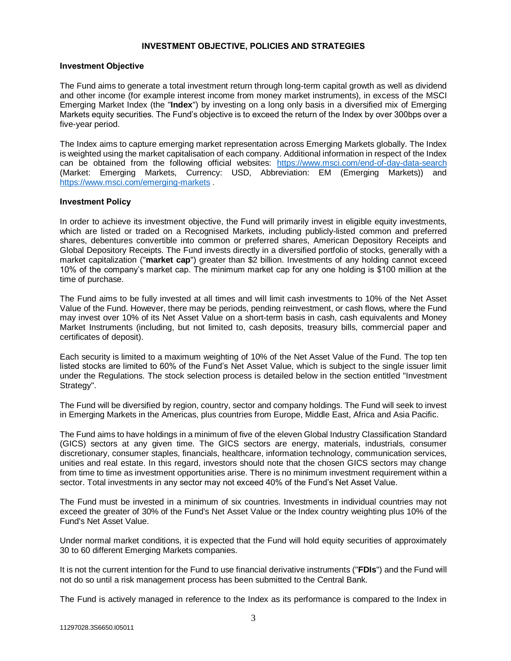# **INVESTMENT OBJECTIVE, POLICIES AND STRATEGIES**

#### **Investment Objective**

<span id="page-3-0"></span>The Fund aims to generate a total investment return through long-term capital growth as well as dividend and other income (for example interest income from money market instruments), in excess of the MSCI Emerging Market Index (the "**Index**") by investing on a long only basis in a diversified mix of Emerging Markets equity securities. The Fund's objective is to exceed the return of the Index by over 300bps over a five-year period.

The Index aims to capture emerging market representation across Emerging Markets globally. The Index is weighted using the market capitalisation of each company. Additional information in respect of the Index can be obtained from the following official websites: <https://www.msci.com/end-of-day-data-search> (Market: Emerging Markets, Currency: USD, Abbreviation: EM (Emerging Markets)) and [https://www.msci.com/emerging-markets](https://protect.mimecast-offshore.com/s/tR1VCoQlREhKWw77H1rAWP?domain=msci.com) .

#### **Investment Policy**

In order to achieve its investment objective, the Fund will primarily invest in eligible equity investments, which are listed or traded on a Recognised Markets, including publicly-listed common and preferred shares, debentures convertible into common or preferred shares, American Depository Receipts and Global Depository Receipts. The Fund invests directly in a diversified portfolio of stocks, generally with a market capitalization ("**market cap**") greater than \$2 billion. Investments of any holding cannot exceed 10% of the company's market cap. The minimum market cap for any one holding is \$100 million at the time of purchase.

The Fund aims to be fully invested at all times and will limit cash investments to 10% of the Net Asset Value of the Fund. However, there may be periods, pending reinvestment, or cash flows, where the Fund may invest over 10% of its Net Asset Value on a short-term basis in cash, cash equivalents and Money Market Instruments (including, but not limited to, cash deposits, treasury bills, commercial paper and certificates of deposit).

Each security is limited to a maximum weighting of 10% of the Net Asset Value of the Fund. The top ten listed stocks are limited to 60% of the Fund's Net Asset Value, which is subject to the single issuer limit under the Regulations. The stock selection process is detailed below in the section entitled "Investment Strategy".

The Fund will be diversified by region, country, sector and company holdings. The Fund will seek to invest in Emerging Markets in the Americas, plus countries from Europe, Middle East, Africa and Asia Pacific.

The Fund aims to have holdings in a minimum of five of the eleven Global Industry Classification Standard (GICS) sectors at any given time. The GICS sectors are energy, materials, industrials, consumer discretionary, consumer staples, financials, healthcare, information technology, communication services, unities and real estate. In this regard, investors should note that the chosen GICS sectors may change from time to time as investment opportunities arise. There is no minimum investment requirement within a sector. Total investments in any sector may not exceed 40% of the Fund's Net Asset Value.

The Fund must be invested in a minimum of six countries. Investments in individual countries may not exceed the greater of 30% of the Fund's Net Asset Value or the Index country weighting plus 10% of the Fund's Net Asset Value.

Under normal market conditions, it is expected that the Fund will hold equity securities of approximately 30 to 60 different Emerging Markets companies.

It is not the current intention for the Fund to use financial derivative instruments ("**FDIs**") and the Fund will not do so until a risk management process has been submitted to the Central Bank.

The Fund is actively managed in reference to the Index as its performance is compared to the Index in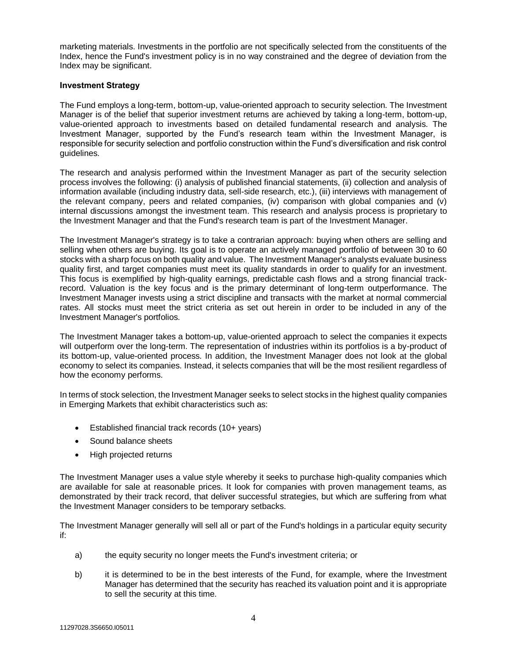marketing materials. Investments in the portfolio are not specifically selected from the constituents of the Index, hence the Fund's investment policy is in no way constrained and the degree of deviation from the Index may be significant.

#### **Investment Strategy**

The Fund employs a long-term, bottom-up, value-oriented approach to security selection. The Investment Manager is of the belief that superior investment returns are achieved by taking a long-term, bottom-up, value-oriented approach to investments based on detailed fundamental research and analysis. The Investment Manager, supported by the Fund's research team within the Investment Manager, is responsible for security selection and portfolio construction within the Fund's diversification and risk control guidelines.

The research and analysis performed within the Investment Manager as part of the security selection process involves the following: (i) analysis of published financial statements, (ii) collection and analysis of information available (including industry data, sell-side research, etc.), (iii) interviews with management of the relevant company, peers and related companies, (iv) comparison with global companies and (v) internal discussions amongst the investment team. This research and analysis process is proprietary to the Investment Manager and that the Fund's research team is part of the Investment Manager.

The Investment Manager's strategy is to take a contrarian approach: buying when others are selling and selling when others are buying. Its goal is to operate an actively managed portfolio of between 30 to 60 stocks with a sharp focus on both quality and value. The Investment Manager's analysts evaluate business quality first, and target companies must meet its quality standards in order to qualify for an investment. This focus is exemplified by high-quality earnings, predictable cash flows and a strong financial trackrecord. Valuation is the key focus and is the primary determinant of long-term outperformance. The Investment Manager invests using a strict discipline and transacts with the market at normal commercial rates. All stocks must meet the strict criteria as set out herein in order to be included in any of the Investment Manager's portfolios.

The Investment Manager takes a bottom-up, value-oriented approach to select the companies it expects will outperform over the long-term. The representation of industries within its portfolios is a by-product of its bottom-up, value-oriented process. In addition, the Investment Manager does not look at the global economy to select its companies. Instead, it selects companies that will be the most resilient regardless of how the economy performs.

In terms of stock selection, the Investment Manager seeks to select stocks in the highest quality companies in Emerging Markets that exhibit characteristics such as:

- Established financial track records (10+ years)
- Sound balance sheets
- High projected returns

The Investment Manager uses a value style whereby it seeks to purchase high-quality companies which are available for sale at reasonable prices. It look for companies with proven management teams, as demonstrated by their track record, that deliver successful strategies, but which are suffering from what the Investment Manager considers to be temporary setbacks.

The Investment Manager generally will sell all or part of the Fund's holdings in a particular equity security if:

- a) the equity security no longer meets the Fund's investment criteria; or
- b) it is determined to be in the best interests of the Fund, for example, where the Investment Manager has determined that the security has reached its valuation point and it is appropriate to sell the security at this time.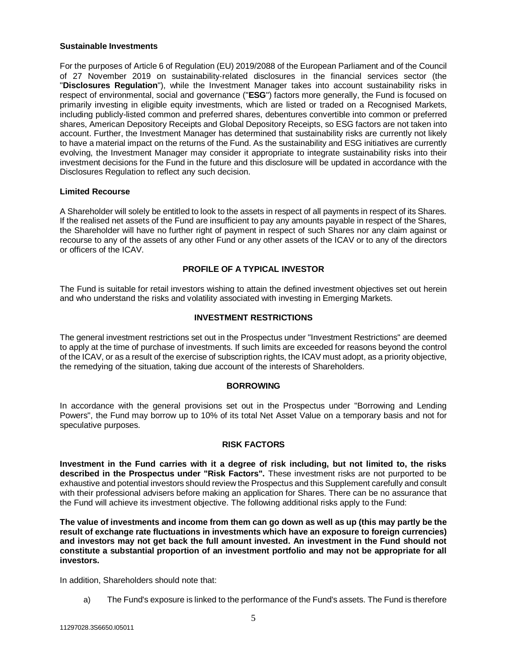#### **Sustainable Investments**

For the purposes of Article 6 of Regulation (EU) 2019/2088 of the European Parliament and of the Council of 27 November 2019 on sustainability‐related disclosures in the financial services sector (the "**Disclosures Regulation**"), while the Investment Manager takes into account sustainability risks in respect of environmental, social and governance ("**ESG**") factors more generally, the Fund is focused on primarily investing in eligible equity investments, which are listed or traded on a Recognised Markets, including publicly-listed common and preferred shares, debentures convertible into common or preferred shares, American Depository Receipts and Global Depository Receipts, so ESG factors are not taken into account. Further, the Investment Manager has determined that sustainability risks are currently not likely to have a material impact on the returns of the Fund. As the sustainability and ESG initiatives are currently evolving, the Investment Manager may consider it appropriate to integrate sustainability risks into their investment decisions for the Fund in the future and this disclosure will be updated in accordance with the Disclosures Regulation to reflect any such decision.

# **Limited Recourse**

A Shareholder will solely be entitled to look to the assets in respect of all payments in respect of its Shares. If the realised net assets of the Fund are insufficient to pay any amounts payable in respect of the Shares, the Shareholder will have no further right of payment in respect of such Shares nor any claim against or recourse to any of the assets of any other Fund or any other assets of the ICAV or to any of the directors or officers of the ICAV.

# **PROFILE OF A TYPICAL INVESTOR**

<span id="page-5-0"></span>The Fund is suitable for retail investors wishing to attain the defined investment objectives set out herein and who understand the risks and volatility associated with investing in Emerging Markets.

# **INVESTMENT RESTRICTIONS**

<span id="page-5-1"></span>The general investment restrictions set out in the Prospectus under "Investment Restrictions" are deemed to apply at the time of purchase of investments. If such limits are exceeded for reasons beyond the control of the ICAV, or as a result of the exercise of subscription rights, the ICAV must adopt, as a priority objective, the remedying of the situation, taking due account of the interests of Shareholders.

#### **BORROWING**

<span id="page-5-2"></span>In accordance with the general provisions set out in the Prospectus under "Borrowing and Lending Powers", the Fund may borrow up to 10% of its total Net Asset Value on a temporary basis and not for speculative purposes.

#### **RISK FACTORS**

<span id="page-5-3"></span>**Investment in the Fund carries with it a degree of risk including, but not limited to, the risks described in the Prospectus under "Risk Factors".** These investment risks are not purported to be exhaustive and potential investors should review the Prospectus and this Supplement carefully and consult with their professional advisers before making an application for Shares. There can be no assurance that the Fund will achieve its investment objective. The following additional risks apply to the Fund:

**The value of investments and income from them can go down as well as up (this may partly be the result of exchange rate fluctuations in investments which have an exposure to foreign currencies) and investors may not get back the full amount invested. An investment in the Fund should not constitute a substantial proportion of an investment portfolio and may not be appropriate for all investors.** 

In addition, Shareholders should note that:

a) The Fund's exposure is linked to the performance of the Fund's assets. The Fund is therefore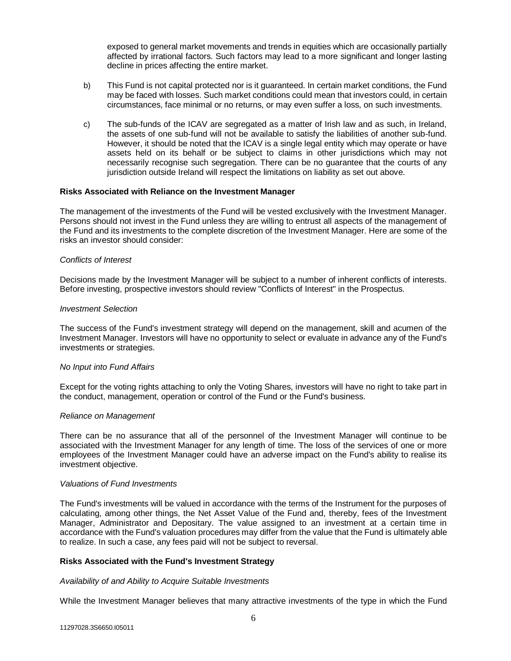exposed to general market movements and trends in equities which are occasionally partially affected by irrational factors. Such factors may lead to a more significant and longer lasting decline in prices affecting the entire market.

- b) This Fund is not capital protected nor is it guaranteed. In certain market conditions, the Fund may be faced with losses. Such market conditions could mean that investors could, in certain circumstances, face minimal or no returns, or may even suffer a loss, on such investments.
- c) The sub-funds of the ICAV are segregated as a matter of Irish law and as such, in Ireland, the assets of one sub-fund will not be available to satisfy the liabilities of another sub-fund. However, it should be noted that the ICAV is a single legal entity which may operate or have assets held on its behalf or be subject to claims in other jurisdictions which may not necessarily recognise such segregation. There can be no guarantee that the courts of any jurisdiction outside Ireland will respect the limitations on liability as set out above.

#### **Risks Associated with Reliance on the Investment Manager**

The management of the investments of the Fund will be vested exclusively with the Investment Manager. Persons should not invest in the Fund unless they are willing to entrust all aspects of the management of the Fund and its investments to the complete discretion of the Investment Manager. Here are some of the risks an investor should consider:

#### *Conflicts of Interest*

Decisions made by the Investment Manager will be subject to a number of inherent conflicts of interests. Before investing, prospective investors should review "Conflicts of Interest" in the Prospectus.

#### *Investment Selection*

The success of the Fund's investment strategy will depend on the management, skill and acumen of the Investment Manager. Investors will have no opportunity to select or evaluate in advance any of the Fund's investments or strategies.

#### *No Input into Fund Affairs*

Except for the voting rights attaching to only the Voting Shares, investors will have no right to take part in the conduct, management, operation or control of the Fund or the Fund's business.

#### *Reliance on Management*

There can be no assurance that all of the personnel of the Investment Manager will continue to be associated with the Investment Manager for any length of time. The loss of the services of one or more employees of the Investment Manager could have an adverse impact on the Fund's ability to realise its investment objective.

#### *Valuations of Fund Investments*

The Fund's investments will be valued in accordance with the terms of the Instrument for the purposes of calculating, among other things, the Net Asset Value of the Fund and, thereby, fees of the Investment Manager, Administrator and Depositary. The value assigned to an investment at a certain time in accordance with the Fund's valuation procedures may differ from the value that the Fund is ultimately able to realize. In such a case, any fees paid will not be subject to reversal.

#### **Risks Associated with the Fund's Investment Strategy**

#### *Availability of and Ability to Acquire Suitable Investments*

While the Investment Manager believes that many attractive investments of the type in which the Fund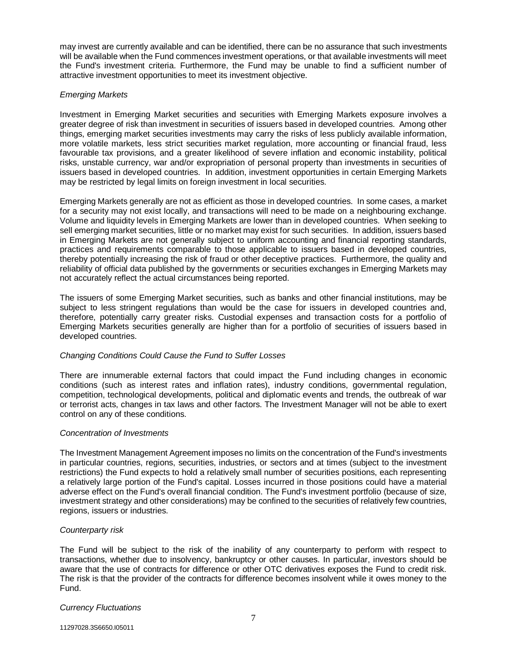may invest are currently available and can be identified, there can be no assurance that such investments will be available when the Fund commences investment operations, or that available investments will meet the Fund's investment criteria. Furthermore, the Fund may be unable to find a sufficient number of attractive investment opportunities to meet its investment objective.

# *Emerging Markets*

Investment in Emerging Market securities and securities with Emerging Markets exposure involves a greater degree of risk than investment in securities of issuers based in developed countries. Among other things, emerging market securities investments may carry the risks of less publicly available information, more volatile markets, less strict securities market regulation, more accounting or financial fraud, less favourable tax provisions, and a greater likelihood of severe inflation and economic instability, political risks, unstable currency, war and/or expropriation of personal property than investments in securities of issuers based in developed countries. In addition, investment opportunities in certain Emerging Markets may be restricted by legal limits on foreign investment in local securities.

Emerging Markets generally are not as efficient as those in developed countries. In some cases, a market for a security may not exist locally, and transactions will need to be made on a neighbouring exchange. Volume and liquidity levels in Emerging Markets are lower than in developed countries. When seeking to sell emerging market securities, little or no market may exist for such securities. In addition, issuers based in Emerging Markets are not generally subject to uniform accounting and financial reporting standards, practices and requirements comparable to those applicable to issuers based in developed countries, thereby potentially increasing the risk of fraud or other deceptive practices. Furthermore, the quality and reliability of official data published by the governments or securities exchanges in Emerging Markets may not accurately reflect the actual circumstances being reported.

The issuers of some Emerging Market securities, such as banks and other financial institutions, may be subject to less stringent regulations than would be the case for issuers in developed countries and, therefore, potentially carry greater risks. Custodial expenses and transaction costs for a portfolio of Emerging Markets securities generally are higher than for a portfolio of securities of issuers based in developed countries.

#### *Changing Conditions Could Cause the Fund to Suffer Losses*

There are innumerable external factors that could impact the Fund including changes in economic conditions (such as interest rates and inflation rates), industry conditions, governmental regulation, competition, technological developments, political and diplomatic events and trends, the outbreak of war or terrorist acts, changes in tax laws and other factors. The Investment Manager will not be able to exert control on any of these conditions.

#### *Concentration of Investments*

The Investment Management Agreement imposes no limits on the concentration of the Fund's investments in particular countries, regions, securities, industries, or sectors and at times (subject to the investment restrictions) the Fund expects to hold a relatively small number of securities positions, each representing a relatively large portion of the Fund's capital. Losses incurred in those positions could have a material adverse effect on the Fund's overall financial condition. The Fund's investment portfolio (because of size, investment strategy and other considerations) may be confined to the securities of relatively few countries, regions, issuers or industries.

#### *Counterparty risk*

The Fund will be subject to the risk of the inability of any counterparty to perform with respect to transactions, whether due to insolvency, bankruptcy or other causes. In particular, investors should be aware that the use of contracts for difference or other OTC derivatives exposes the Fund to credit risk. The risk is that the provider of the contracts for difference becomes insolvent while it owes money to the Fund.

#### *Currency Fluctuations*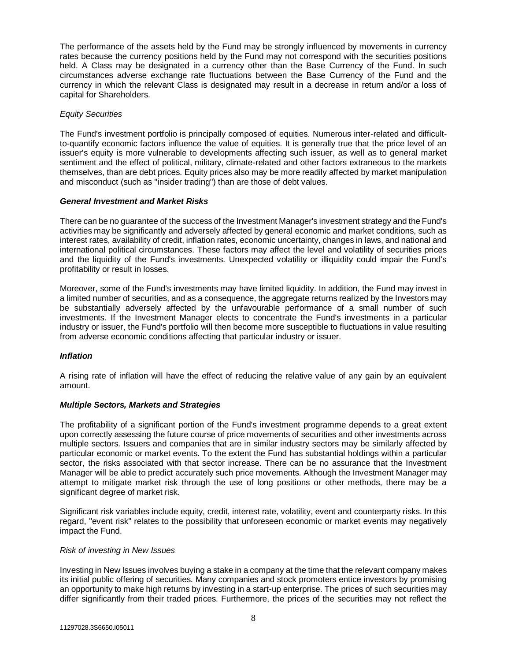The performance of the assets held by the Fund may be strongly influenced by movements in currency rates because the currency positions held by the Fund may not correspond with the securities positions held. A Class may be designated in a currency other than the Base Currency of the Fund. In such circumstances adverse exchange rate fluctuations between the Base Currency of the Fund and the currency in which the relevant Class is designated may result in a decrease in return and/or a loss of capital for Shareholders.

#### *Equity Securities*

The Fund's investment portfolio is principally composed of equities. Numerous inter-related and difficultto-quantify economic factors influence the value of equities. It is generally true that the price level of an issuer's equity is more vulnerable to developments affecting such issuer, as well as to general market sentiment and the effect of political, military, climate-related and other factors extraneous to the markets themselves, than are debt prices. Equity prices also may be more readily affected by market manipulation and misconduct (such as "insider trading") than are those of debt values.

#### *General Investment and Market Risks*

There can be no guarantee of the success of the Investment Manager's investment strategy and the Fund's activities may be significantly and adversely affected by general economic and market conditions, such as interest rates, availability of credit, inflation rates, economic uncertainty, changes in laws, and national and international political circumstances. These factors may affect the level and volatility of securities prices and the liquidity of the Fund's investments. Unexpected volatility or illiquidity could impair the Fund's profitability or result in losses.

Moreover, some of the Fund's investments may have limited liquidity. In addition, the Fund may invest in a limited number of securities, and as a consequence, the aggregate returns realized by the Investors may be substantially adversely affected by the unfavourable performance of a small number of such investments. If the Investment Manager elects to concentrate the Fund's investments in a particular industry or issuer, the Fund's portfolio will then become more susceptible to fluctuations in value resulting from adverse economic conditions affecting that particular industry or issuer.

# *Inflation*

A rising rate of inflation will have the effect of reducing the relative value of any gain by an equivalent amount.

#### *Multiple Sectors, Markets and Strategies*

The profitability of a significant portion of the Fund's investment programme depends to a great extent upon correctly assessing the future course of price movements of securities and other investments across multiple sectors. Issuers and companies that are in similar industry sectors may be similarly affected by particular economic or market events. To the extent the Fund has substantial holdings within a particular sector, the risks associated with that sector increase. There can be no assurance that the Investment Manager will be able to predict accurately such price movements. Although the Investment Manager may attempt to mitigate market risk through the use of long positions or other methods, there may be a significant degree of market risk.

Significant risk variables include equity, credit, interest rate, volatility, event and counterparty risks. In this regard, "event risk" relates to the possibility that unforeseen economic or market events may negatively impact the Fund.

#### *Risk of investing in New Issues*

Investing in New Issues involves buying a stake in a company at the time that the relevant company makes its initial public offering of securities. Many companies and stock promoters entice investors by promising an opportunity to make high returns by investing in a start-up enterprise. The prices of such securities may differ significantly from their traded prices. Furthermore, the prices of the securities may not reflect the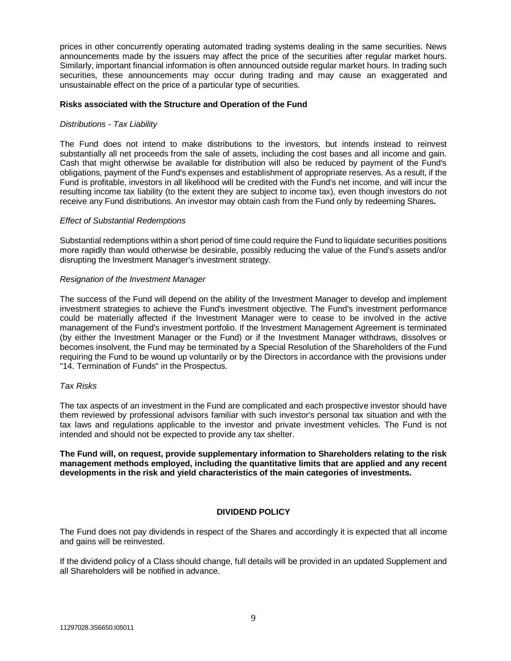prices in other concurrently operating automated trading systems dealing in the same securities. News announcements made by the issuers may affect the price of the securities after regular market hours. Similarly, important financial information is often announced outside regular market hours. In trading such securities, these announcements may occur during trading and may cause an exaggerated and unsustainable effect on the price of a particular type of securities.

#### **Risks associated with the Structure and Operation of the Fund**

#### *Distributions - Tax Liability*

The Fund does not intend to make distributions to the investors, but intends instead to reinvest substantially all net proceeds from the sale of assets, including the cost bases and all income and gain. Cash that might otherwise be available for distribution will also be reduced by payment of the Fund's obligations, payment of the Fund's expenses and establishment of appropriate reserves. As a result, if the Fund is profitable, investors in all likelihood will be credited with the Fund's net income, and will incur the resulting income tax liability (to the extent they are subject to income tax), even though investors do not receive any Fund distributions. An investor may obtain cash from the Fund only by redeeming Shares**.**

#### *Effect of Substantial Redemptions*

Substantial redemptions within a short period of time could require the Fund to liquidate securities positions more rapidly than would otherwise be desirable, possibly reducing the value of the Fund's assets and/or disrupting the Investment Manager's investment strategy.

#### *Resignation of the Investment Manager*

The success of the Fund will depend on the ability of the Investment Manager to develop and implement investment strategies to achieve the Fund's investment objective. The Fund's investment performance could be materially affected if the Investment Manager were to cease to be involved in the active management of the Fund's investment portfolio. If the Investment Management Agreement is terminated (by either the Investment Manager or the Fund) or if the Investment Manager withdraws, dissolves or becomes insolvent, the Fund may be terminated by a Special Resolution of the Shareholders of the Fund requiring the Fund to be wound up voluntarily or by the Directors in accordance with the provisions under "14. Termination of Funds" in the Prospectus.

#### *Tax Risks*

The tax aspects of an investment in the Fund are complicated and each prospective investor should have them reviewed by professional advisors familiar with such investor's personal tax situation and with the tax laws and regulations applicable to the investor and private investment vehicles. The Fund is not intended and should not be expected to provide any tax shelter.

**The Fund will, on request, provide supplementary information to Shareholders relating to the risk management methods employed, including the quantitative limits that are applied and any recent developments in the risk and yield characteristics of the main categories of investments.**

#### **DIVIDEND POLICY**

<span id="page-9-0"></span>The Fund does not pay dividends in respect of the Shares and accordingly it is expected that all income and gains will be reinvested.

If the dividend policy of a Class should change, full details will be provided in an updated Supplement and all Shareholders will be notified in advance.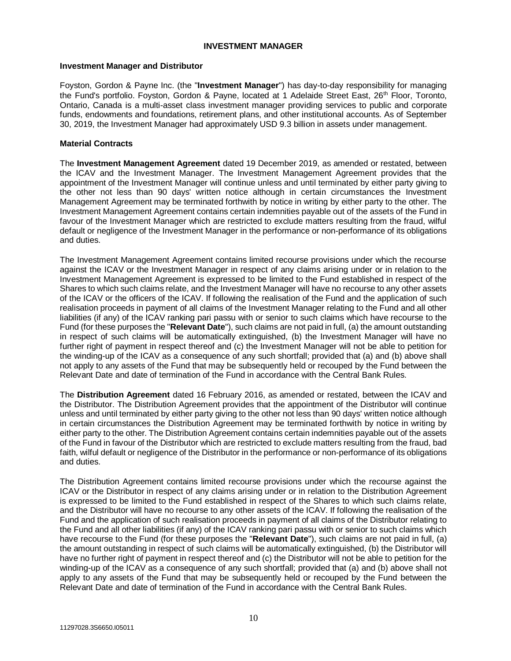#### **INVESTMENT MANAGER**

#### **Investment Manager and Distributor**

<span id="page-10-0"></span>Foyston, Gordon & Payne Inc. (the "**Investment Manager**") has day-to-day responsibility for managing the Fund's portfolio. Foyston, Gordon & Payne, located at 1 Adelaide Street East, 26<sup>th</sup> Floor, Toronto, Ontario, Canada is a multi-asset class investment manager providing services to public and corporate funds, endowments and foundations, retirement plans, and other institutional accounts. As of September 30, 2019, the Investment Manager had approximately USD 9.3 billion in assets under management.

#### **Material Contracts**

The **Investment Management Agreement** dated 19 December 2019, as amended or restated, between the ICAV and the Investment Manager. The Investment Management Agreement provides that the appointment of the Investment Manager will continue unless and until terminated by either party giving to the other not less than 90 days' written notice although in certain circumstances the Investment Management Agreement may be terminated forthwith by notice in writing by either party to the other. The Investment Management Agreement contains certain indemnities payable out of the assets of the Fund in favour of the Investment Manager which are restricted to exclude matters resulting from the fraud, wilful default or negligence of the Investment Manager in the performance or non-performance of its obligations and duties.

The Investment Management Agreement contains limited recourse provisions under which the recourse against the ICAV or the Investment Manager in respect of any claims arising under or in relation to the Investment Management Agreement is expressed to be limited to the Fund established in respect of the Shares to which such claims relate, and the Investment Manager will have no recourse to any other assets of the ICAV or the officers of the ICAV. If following the realisation of the Fund and the application of such realisation proceeds in payment of all claims of the Investment Manager relating to the Fund and all other liabilities (if any) of the ICAV ranking pari passu with or senior to such claims which have recourse to the Fund (for these purposes the "**Relevant Date**"), such claims are not paid in full, (a) the amount outstanding in respect of such claims will be automatically extinguished, (b) the Investment Manager will have no further right of payment in respect thereof and (c) the Investment Manager will not be able to petition for the winding-up of the ICAV as a consequence of any such shortfall; provided that (a) and (b) above shall not apply to any assets of the Fund that may be subsequently held or recouped by the Fund between the Relevant Date and date of termination of the Fund in accordance with the Central Bank Rules.

The **Distribution Agreement** dated 16 February 2016, as amended or restated, between the ICAV and the Distributor. The Distribution Agreement provides that the appointment of the Distributor will continue unless and until terminated by either party giving to the other not less than 90 days' written notice although in certain circumstances the Distribution Agreement may be terminated forthwith by notice in writing by either party to the other. The Distribution Agreement contains certain indemnities payable out of the assets of the Fund in favour of the Distributor which are restricted to exclude matters resulting from the fraud, bad faith, wilful default or negligence of the Distributor in the performance or non-performance of its obligations and duties.

The Distribution Agreement contains limited recourse provisions under which the recourse against the ICAV or the Distributor in respect of any claims arising under or in relation to the Distribution Agreement is expressed to be limited to the Fund established in respect of the Shares to which such claims relate, and the Distributor will have no recourse to any other assets of the ICAV. If following the realisation of the Fund and the application of such realisation proceeds in payment of all claims of the Distributor relating to the Fund and all other liabilities (if any) of the ICAV ranking pari passu with or senior to such claims which have recourse to the Fund (for these purposes the "**Relevant Date**"), such claims are not paid in full, (a) the amount outstanding in respect of such claims will be automatically extinguished, (b) the Distributor will have no further right of payment in respect thereof and (c) the Distributor will not be able to petition for the winding-up of the ICAV as a consequence of any such shortfall; provided that (a) and (b) above shall not apply to any assets of the Fund that may be subsequently held or recouped by the Fund between the Relevant Date and date of termination of the Fund in accordance with the Central Bank Rules.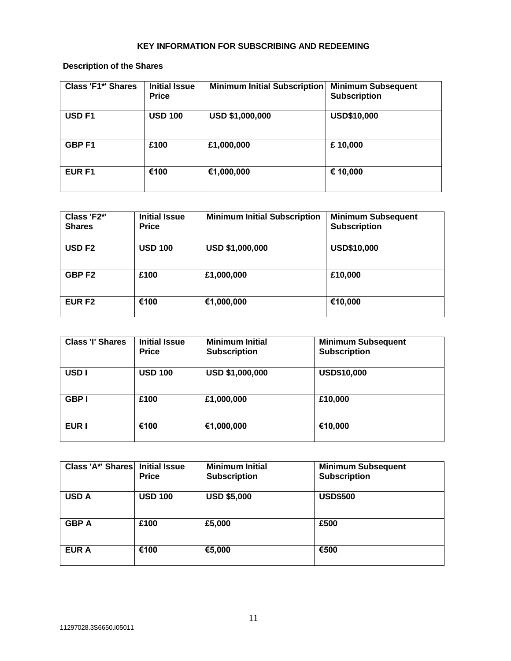# **KEY INFORMATION FOR SUBSCRIBING AND REDEEMING**

**Description of the Shares**

<span id="page-11-0"></span>

| <b>Class 'F1*' Shares</b> | <b>Initial Issue</b><br><b>Price</b> | <b>Minimum Initial Subscription</b> | <b>Minimum Subsequent</b><br><b>Subscription</b> |
|---------------------------|--------------------------------------|-------------------------------------|--------------------------------------------------|
| USD <sub>F1</sub>         | <b>USD 100</b>                       | USD \$1,000,000                     | <b>USD\$10,000</b>                               |
| <b>GBPF1</b>              | £100                                 | £1,000,000                          | £10,000                                          |
| EUR F1                    | €100                                 | €1,000,000                          | € 10,000                                         |

| Class 'F2*'<br><b>Shares</b> | <b>Initial Issue</b><br><b>Price</b> | <b>Minimum Initial Subscription</b> | <b>Minimum Subsequent</b><br><b>Subscription</b> |
|------------------------------|--------------------------------------|-------------------------------------|--------------------------------------------------|
| <b>USD F2</b>                | <b>USD 100</b>                       | <b>USD \$1,000,000</b>              | <b>USD\$10,000</b>                               |
| GBP <sub>F2</sub>            | £100                                 | £1,000,000                          | £10,000                                          |
| <b>EUR F2</b>                | €100                                 | €1,000,000                          | €10,000                                          |

| <b>Class 'I' Shares</b> | <b>Initial Issue</b><br><b>Price</b> | <b>Minimum Initial</b><br><b>Subscription</b> | <b>Minimum Subsequent</b><br><b>Subscription</b> |
|-------------------------|--------------------------------------|-----------------------------------------------|--------------------------------------------------|
| USD <sub>I</sub>        | <b>USD 100</b>                       | USD \$1,000,000                               | <b>USD\$10,000</b>                               |
| <b>GBP</b>              | £100                                 | £1,000,000                                    | £10,000                                          |
| <b>EUR I</b>            | €100                                 | €1,000,000                                    | €10,000                                          |

| Class 'A*' Shares   Initial Issue | <b>Price</b>   | <b>Minimum Initial</b><br><b>Subscription</b> | <b>Minimum Subsequent</b><br><b>Subscription</b> |
|-----------------------------------|----------------|-----------------------------------------------|--------------------------------------------------|
| <b>USD A</b>                      | <b>USD 100</b> | <b>USD \$5,000</b>                            | <b>USD\$500</b>                                  |
| <b>GBP A</b>                      | £100           | £5,000                                        | £500                                             |
| <b>EUR A</b>                      | €100           | €5,000                                        | €500                                             |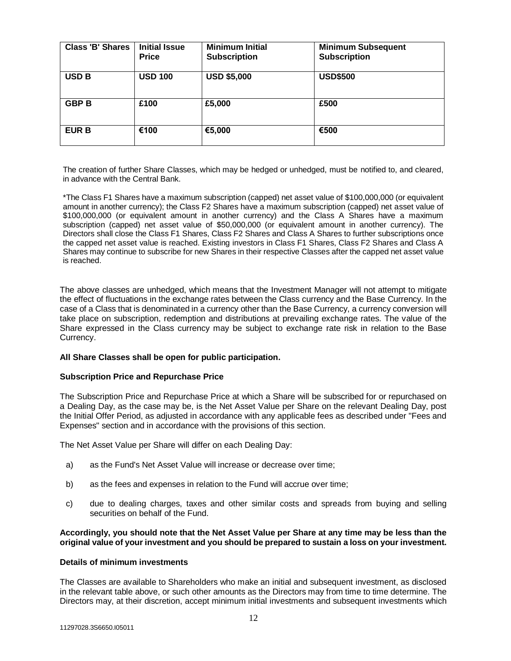| <b>Class 'B' Shares</b> | <b>Initial Issue</b><br><b>Price</b> | <b>Minimum Initial</b><br><b>Subscription</b> | <b>Minimum Subsequent</b><br><b>Subscription</b> |
|-------------------------|--------------------------------------|-----------------------------------------------|--------------------------------------------------|
| <b>USD B</b>            | <b>USD 100</b>                       | <b>USD \$5,000</b>                            | <b>USD\$500</b>                                  |
| <b>GBP B</b>            | £100                                 | £5,000                                        | £500                                             |
| <b>EUR B</b>            | €100                                 | €5,000                                        | €500                                             |

The creation of further Share Classes, which may be hedged or unhedged, must be notified to, and cleared, in advance with the Central Bank.

\*The Class F1 Shares have a maximum subscription (capped) net asset value of \$100,000,000 (or equivalent amount in another currency); the Class F2 Shares have a maximum subscription (capped) net asset value of \$100,000,000 (or equivalent amount in another currency) and the Class A Shares have a maximum subscription (capped) net asset value of \$50,000,000 (or equivalent amount in another currency). The Directors shall close the Class F1 Shares, Class F2 Shares and Class A Shares to further subscriptions once the capped net asset value is reached. Existing investors in Class F1 Shares, Class F2 Shares and Class A Shares may continue to subscribe for new Shares in their respective Classes after the capped net asset value is reached.

The above classes are unhedged, which means that the Investment Manager will not attempt to mitigate the effect of fluctuations in the exchange rates between the Class currency and the Base Currency. In the case of a Class that is denominated in a currency other than the Base Currency, a currency conversion will take place on subscription, redemption and distributions at prevailing exchange rates. The value of the Share expressed in the Class currency may be subject to exchange rate risk in relation to the Base Currency.

#### **All Share Classes shall be open for public participation.**

#### **Subscription Price and Repurchase Price**

The Subscription Price and Repurchase Price at which a Share will be subscribed for or repurchased on a Dealing Day, as the case may be, is the Net Asset Value per Share on the relevant Dealing Day, post the Initial Offer Period, as adjusted in accordance with any applicable fees as described under "Fees and Expenses" section and in accordance with the provisions of this section.

The Net Asset Value per Share will differ on each Dealing Day:

- a) as the Fund's Net Asset Value will increase or decrease over time;
- b) as the fees and expenses in relation to the Fund will accrue over time;
- c) due to dealing charges, taxes and other similar costs and spreads from buying and selling securities on behalf of the Fund.

#### **Accordingly, you should note that the Net Asset Value per Share at any time may be less than the original value of your investment and you should be prepared to sustain a loss on your investment.**

#### **Details of minimum investments**

The Classes are available to Shareholders who make an initial and subsequent investment, as disclosed in the relevant table above, or such other amounts as the Directors may from time to time determine. The Directors may, at their discretion, accept minimum initial investments and subsequent investments which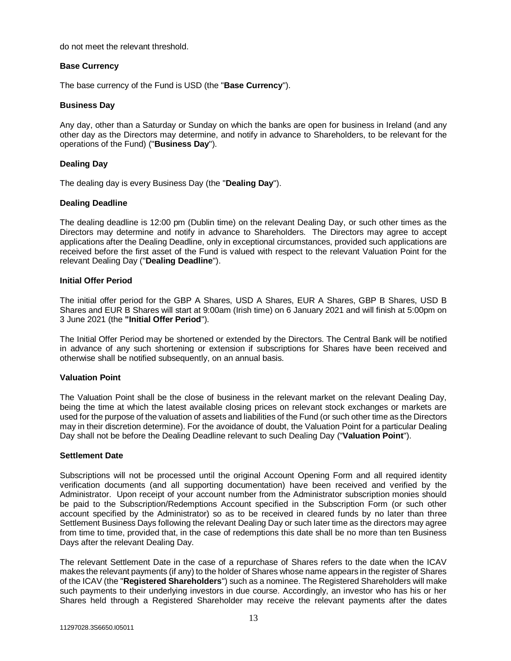do not meet the relevant threshold.

#### **Base Currency**

The base currency of the Fund is USD (the "**Base Currency**").

# **Business Day**

Any day, other than a Saturday or Sunday on which the banks are open for business in Ireland (and any other day as the Directors may determine, and notify in advance to Shareholders, to be relevant for the operations of the Fund) ("**Business Day**").

# **Dealing Day**

The dealing day is every Business Day (the "**Dealing Day**").

#### **Dealing Deadline**

The dealing deadline is 12:00 pm (Dublin time) on the relevant Dealing Day, or such other times as the Directors may determine and notify in advance to Shareholders. The Directors may agree to accept applications after the Dealing Deadline, only in exceptional circumstances, provided such applications are received before the first asset of the Fund is valued with respect to the relevant Valuation Point for the relevant Dealing Day ("**Dealing Deadline**").

#### **Initial Offer Period**

The initial offer period for the GBP A Shares, USD A Shares, EUR A Shares, GBP B Shares, USD B Shares and EUR B Shares will start at 9:00am (Irish time) on 6 January 2021 and will finish at 5:00pm on 3 June 2021 (the **"Initial Offer Period**").

The Initial Offer Period may be shortened or extended by the Directors. The Central Bank will be notified in advance of any such shortening or extension if subscriptions for Shares have been received and otherwise shall be notified subsequently, on an annual basis.

#### **Valuation Point**

The Valuation Point shall be the close of business in the relevant market on the relevant Dealing Day, being the time at which the latest available closing prices on relevant stock exchanges or markets are used for the purpose of the valuation of assets and liabilities of the Fund (or such other time as the Directors may in their discretion determine). For the avoidance of doubt, the Valuation Point for a particular Dealing Day shall not be before the Dealing Deadline relevant to such Dealing Day ("**Valuation Point**").

#### **Settlement Date**

Subscriptions will not be processed until the original Account Opening Form and all required identity verification documents (and all supporting documentation) have been received and verified by the Administrator. Upon receipt of your account number from the Administrator subscription monies should be paid to the Subscription/Redemptions Account specified in the Subscription Form (or such other account specified by the Administrator) so as to be received in cleared funds by no later than three Settlement Business Days following the relevant Dealing Day or such later time as the directors may agree from time to time, provided that, in the case of redemptions this date shall be no more than ten Business Days after the relevant Dealing Day.

The relevant Settlement Date in the case of a repurchase of Shares refers to the date when the ICAV makes the relevant payments (if any) to the holder of Shares whose name appears in the register of Shares of the ICAV (the "**Registered Shareholders**") such as a nominee. The Registered Shareholders will make such payments to their underlying investors in due course. Accordingly, an investor who has his or her Shares held through a Registered Shareholder may receive the relevant payments after the dates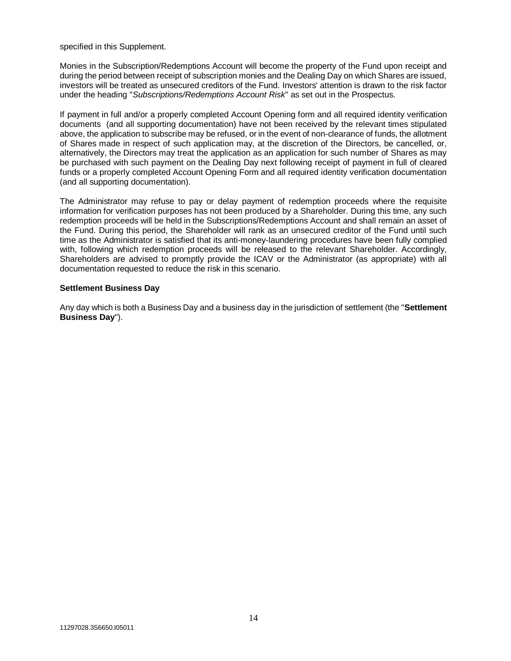specified in this Supplement.

Monies in the Subscription/Redemptions Account will become the property of the Fund upon receipt and during the period between receipt of subscription monies and the Dealing Day on which Shares are issued, investors will be treated as unsecured creditors of the Fund. Investors' attention is drawn to the risk factor under the heading "*Subscriptions/Redemptions Account Risk*" as set out in the Prospectus.

If payment in full and/or a properly completed Account Opening form and all required identity verification documents (and all supporting documentation) have not been received by the relevant times stipulated above, the application to subscribe may be refused, or in the event of non-clearance of funds, the allotment of Shares made in respect of such application may, at the discretion of the Directors, be cancelled, or, alternatively, the Directors may treat the application as an application for such number of Shares as may be purchased with such payment on the Dealing Day next following receipt of payment in full of cleared funds or a properly completed Account Opening Form and all required identity verification documentation (and all supporting documentation).

The Administrator may refuse to pay or delay payment of redemption proceeds where the requisite information for verification purposes has not been produced by a Shareholder. During this time, any such redemption proceeds will be held in the Subscriptions/Redemptions Account and shall remain an asset of the Fund. During this period, the Shareholder will rank as an unsecured creditor of the Fund until such time as the Administrator is satisfied that its anti-money-laundering procedures have been fully complied with, following which redemption proceeds will be released to the relevant Shareholder. Accordingly, Shareholders are advised to promptly provide the ICAV or the Administrator (as appropriate) with all documentation requested to reduce the risk in this scenario.

#### **Settlement Business Day**

Any day which is both a Business Day and a business day in the jurisdiction of settlement (the "**Settlement Business Day**").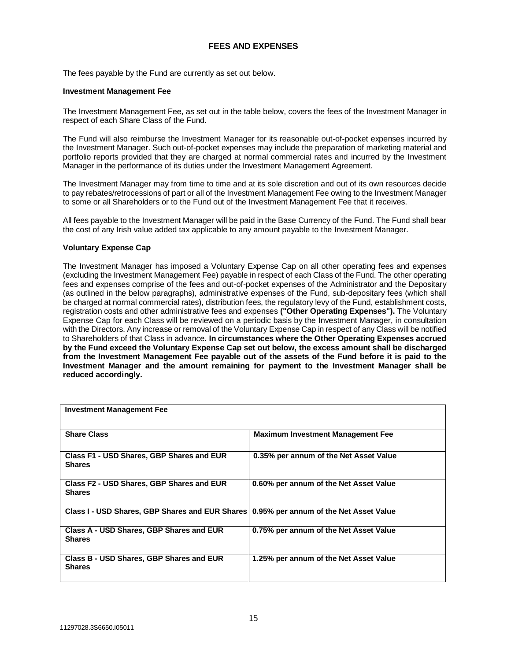# **FEES AND EXPENSES**

The fees payable by the Fund are currently as set out below.

#### <span id="page-15-0"></span>**Investment Management Fee**

The Investment Management Fee, as set out in the table below, covers the fees of the Investment Manager in respect of each Share Class of the Fund.

The Fund will also reimburse the Investment Manager for its reasonable out-of-pocket expenses incurred by the Investment Manager. Such out-of-pocket expenses may include the preparation of marketing material and portfolio reports provided that they are charged at normal commercial rates and incurred by the Investment Manager in the performance of its duties under the Investment Management Agreement.

The Investment Manager may from time to time and at its sole discretion and out of its own resources decide to pay rebates/retrocessions of part or all of the Investment Management Fee owing to the Investment Manager to some or all Shareholders or to the Fund out of the Investment Management Fee that it receives.

All fees payable to the Investment Manager will be paid in the Base Currency of the Fund. The Fund shall bear the cost of any Irish value added tax applicable to any amount payable to the Investment Manager.

#### **Voluntary Expense Cap**

The Investment Manager has imposed a Voluntary Expense Cap on all other operating fees and expenses (excluding the Investment Management Fee) payable in respect of each Class of the Fund. The other operating fees and expenses comprise of the fees and out-of-pocket expenses of the Administrator and the Depositary (as outlined in the below paragraphs), administrative expenses of the Fund, sub-depositary fees (which shall be charged at normal commercial rates), distribution fees, the regulatory levy of the Fund, establishment costs, registration costs and other administrative fees and expenses **("Other Operating Expenses").** The Voluntary Expense Cap for each Class will be reviewed on a periodic basis by the Investment Manager, in consultation with the Directors. Any increase or removal of the Voluntary Expense Cap in respect of any Class will be notified to Shareholders of that Class in advance. **In circumstances where the Other Operating Expenses accrued by the Fund exceed the Voluntary Expense Cap set out below, the excess amount shall be discharged from the Investment Management Fee payable out of the assets of the Fund before it is paid to the Investment Manager and the amount remaining for payment to the Investment Manager shall be reduced accordingly.**

| <b>Investment Management Fee</b>                                                       |                                          |
|----------------------------------------------------------------------------------------|------------------------------------------|
| <b>Share Class</b>                                                                     | <b>Maximum Investment Management Fee</b> |
| Class F1 - USD Shares, GBP Shares and EUR<br><b>Shares</b>                             | 0.35% per annum of the Net Asset Value   |
| Class F2 - USD Shares, GBP Shares and EUR<br><b>Shares</b>                             | 0.60% per annum of the Net Asset Value   |
| Class I - USD Shares, GBP Shares and EUR Shares 0.95% per annum of the Net Asset Value |                                          |
| Class A - USD Shares, GBP Shares and EUR<br><b>Shares</b>                              | 0.75% per annum of the Net Asset Value   |
| Class B - USD Shares, GBP Shares and EUR<br><b>Shares</b>                              | 1.25% per annum of the Net Asset Value   |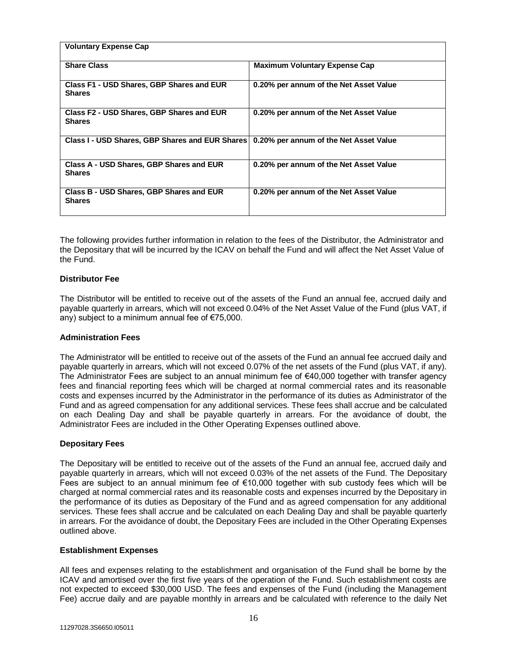| <b>Voluntary Expense Cap</b>                                                             |                                        |
|------------------------------------------------------------------------------------------|----------------------------------------|
| <b>Share Class</b>                                                                       | <b>Maximum Voluntary Expense Cap</b>   |
| Class F1 - USD Shares, GBP Shares and EUR<br><b>Shares</b>                               | 0.20% per annum of the Net Asset Value |
| Class F2 - USD Shares, GBP Shares and EUR<br><b>Shares</b>                               | 0.20% per annum of the Net Asset Value |
| Class I - USD Shares, GBP Shares and EUR Shares   0.20% per annum of the Net Asset Value |                                        |
| Class A - USD Shares, GBP Shares and EUR<br><b>Shares</b>                                | 0.20% per annum of the Net Asset Value |
| Class B - USD Shares, GBP Shares and EUR<br><b>Shares</b>                                | 0.20% per annum of the Net Asset Value |

The following provides further information in relation to the fees of the Distributor, the Administrator and the Depositary that will be incurred by the ICAV on behalf the Fund and will affect the Net Asset Value of the Fund.

# **Distributor Fee**

The Distributor will be entitled to receive out of the assets of the Fund an annual fee, accrued daily and payable quarterly in arrears, which will not exceed 0.04% of the Net Asset Value of the Fund (plus VAT, if any) subject to a minimum annual fee of €75,000.

#### **Administration Fees**

The Administrator will be entitled to receive out of the assets of the Fund an annual fee accrued daily and payable quarterly in arrears, which will not exceed 0.07% of the net assets of the Fund (plus VAT, if any). The Administrator Fees are subject to an annual minimum fee of €40,000 together with transfer agency fees and financial reporting fees which will be charged at normal commercial rates and its reasonable costs and expenses incurred by the Administrator in the performance of its duties as Administrator of the Fund and as agreed compensation for any additional services. These fees shall accrue and be calculated on each Dealing Day and shall be payable quarterly in arrears. For the avoidance of doubt, the Administrator Fees are included in the Other Operating Expenses outlined above.

#### **Depositary Fees**

The Depositary will be entitled to receive out of the assets of the Fund an annual fee, accrued daily and payable quarterly in arrears, which will not exceed 0.03% of the net assets of the Fund. The Depositary Fees are subject to an annual minimum fee of €10,000 together with sub custody fees which will be charged at normal commercial rates and its reasonable costs and expenses incurred by the Depositary in the performance of its duties as Depositary of the Fund and as agreed compensation for any additional services. These fees shall accrue and be calculated on each Dealing Day and shall be payable quarterly in arrears. For the avoidance of doubt, the Depositary Fees are included in the Other Operating Expenses outlined above.

#### **Establishment Expenses**

All fees and expenses relating to the establishment and organisation of the Fund shall be borne by the ICAV and amortised over the first five years of the operation of the Fund. Such establishment costs are not expected to exceed \$30,000 USD. The fees and expenses of the Fund (including the Management Fee) accrue daily and are payable monthly in arrears and be calculated with reference to the daily Net